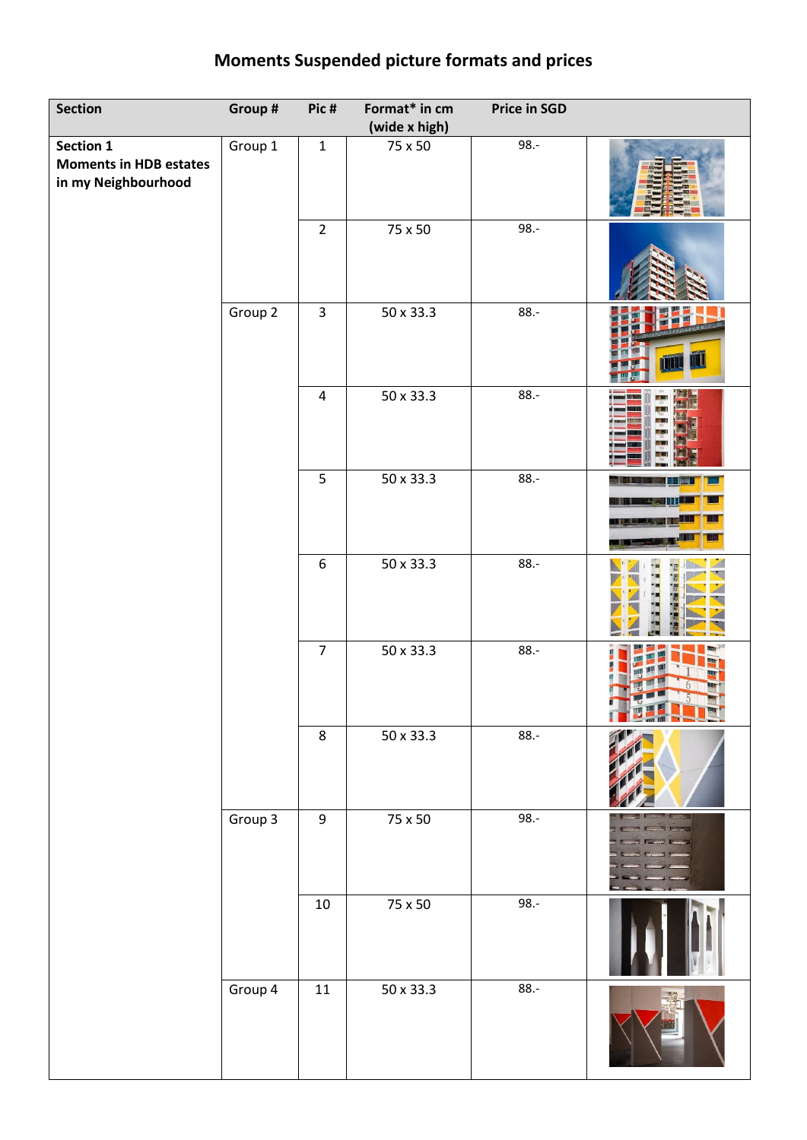## **Moments Suspended picture formats and prices**

| Section                                                           | Group # | Pic#             | Format* in cm<br>(wide x high) | <b>Price in SGD</b> |                                  |
|-------------------------------------------------------------------|---------|------------------|--------------------------------|---------------------|----------------------------------|
| Section 1<br><b>Moments in HDB estates</b><br>in my Neighbourhood | Group 1 | $\mathbf{1}$     | 75 x 50                        | $98. -$             |                                  |
|                                                                   |         | $\overline{2}$   | 75 x 50                        | $98. -$             |                                  |
|                                                                   | Group 2 | $\overline{3}$   | 50 x 33.3                      | $88. -$             | ИL<br>TII                        |
|                                                                   |         | $\overline{4}$   | 50 x 33.3                      | $88. -$             |                                  |
|                                                                   |         | 5                | 50 x 33.3                      | $88.-$              | <b>Billian</b><br><b>BART RE</b> |
|                                                                   |         | $\boldsymbol{6}$ | $50 \times 33.3$               | $88. -$             |                                  |
|                                                                   |         | $\overline{7}$   | 50 x 33.3                      | $88.-$              |                                  |
|                                                                   |         | $\,8\,$          | 50 x 33.3                      | $88.-$              |                                  |
|                                                                   | Group 3 | $\boldsymbol{9}$ | 75 x 50                        | $98.-$              |                                  |
|                                                                   |         | $10\,$           | $75 \times 50$                 | $98.-$              |                                  |
|                                                                   | Group 4 | $11\,$           | 50 x 33.3                      | $88 -$              |                                  |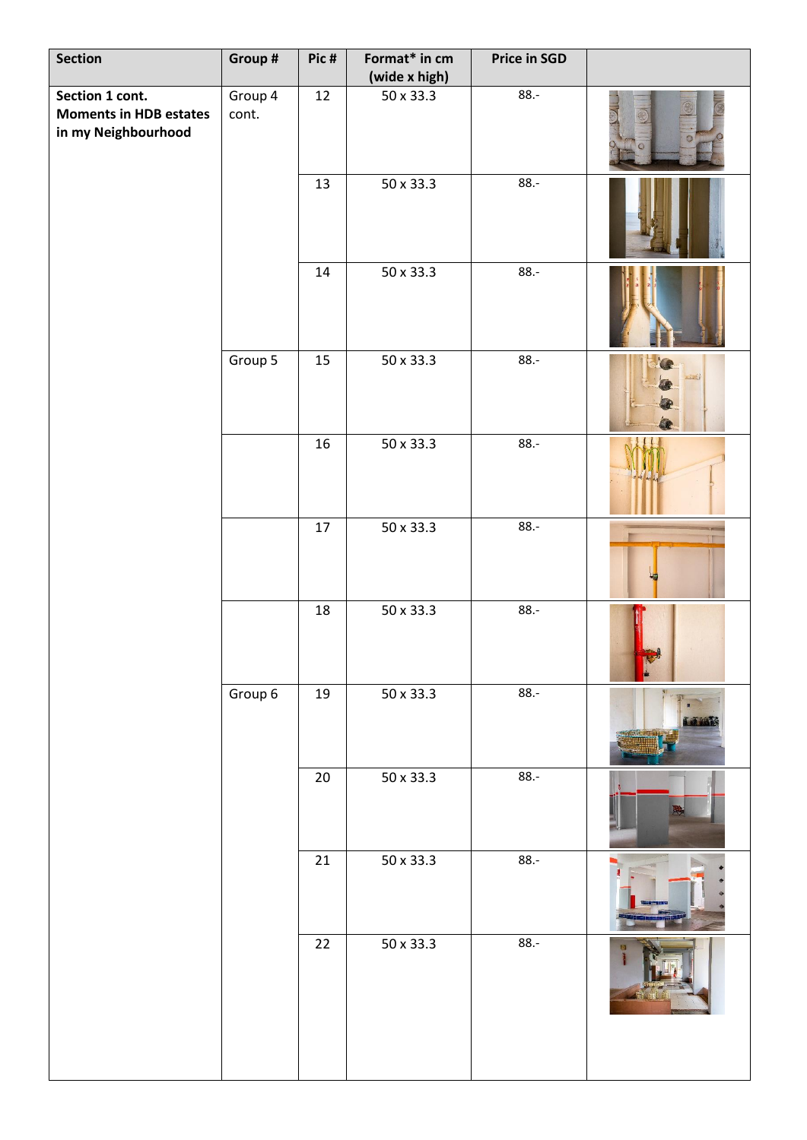| <b>Section</b>                                                          | Group #          | Pic#   | Format* in cm<br>(wide x high) | <b>Price in SGD</b> |                    |
|-------------------------------------------------------------------------|------------------|--------|--------------------------------|---------------------|--------------------|
| Section 1 cont.<br><b>Moments in HDB estates</b><br>in my Neighbourhood | Group 4<br>cont. | 12     | $\frac{1}{50}$ x 33.3          | $88. -$             |                    |
|                                                                         |                  | 13     | 50 x 33.3                      | $88.-$              |                    |
|                                                                         |                  | 14     | 50 x 33.3                      | $88. -$             |                    |
|                                                                         | Group 5          | 15     | 50 x 33.3                      | $88. -$             | $\bullet$<br>$-22$ |
|                                                                         |                  | 16     | $50 \times 33.3$               | $88.-$              |                    |
|                                                                         |                  | $17\,$ | 50 x 33.3                      | $88.-$              |                    |
|                                                                         |                  | 18     | 50 x 33.3                      | $88.-$              |                    |
|                                                                         | Group 6          | 19     | 50 x 33.3                      | $88.-$              | <b>D. 10. 20</b>   |
|                                                                         |                  | $20\,$ | 50 x 33.3                      | $88. -$             |                    |
|                                                                         |                  | 21     | 50 x 33.3                      | $88.-$              |                    |
|                                                                         |                  | 22     | 50 x 33.3                      | $88. -$             |                    |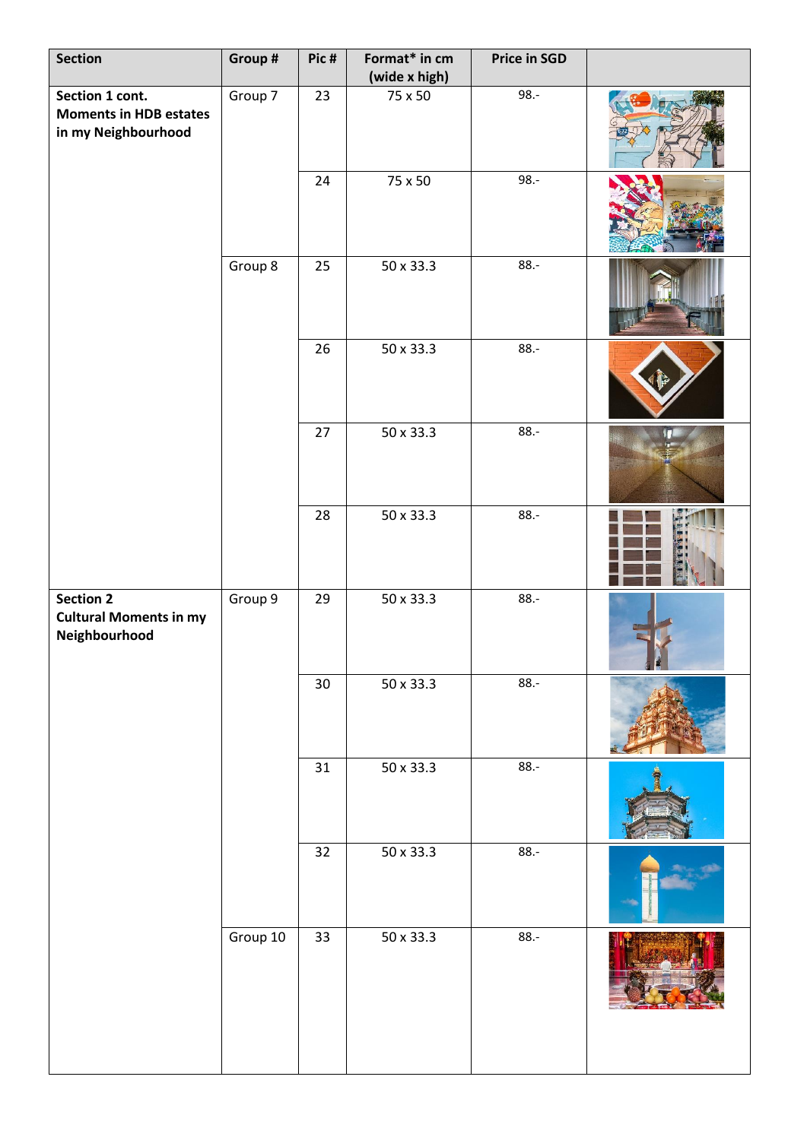| Section                                                                 | Group #  | Pic#            | Format* in cm<br>(wide x high) | <b>Price in SGD</b> |  |
|-------------------------------------------------------------------------|----------|-----------------|--------------------------------|---------------------|--|
| Section 1 cont.<br><b>Moments in HDB estates</b><br>in my Neighbourhood | Group 7  | 23              | 75 x 50                        | 98.-                |  |
|                                                                         |          | 24              | 75 x 50                        | 98.-                |  |
|                                                                         | Group 8  | 25              | 50 x 33.3                      | $88.-$              |  |
|                                                                         |          | 26              | 50 x 33.3                      | $88.-$              |  |
|                                                                         |          | 27              | 50 x 33.3                      | $88 -$              |  |
|                                                                         |          | 28              | 50 x 33.3                      | $88. -$             |  |
| <b>Section 2</b><br><b>Cultural Moments in my</b><br>Neighbourhood      | Group 9  | 29              | 50 x 33.3                      | $88.-$              |  |
|                                                                         |          | 30 <sub>o</sub> | 50 x 33.3                      | $88 -$              |  |
|                                                                         |          | 31              | 50 x 33.3                      | $88.-$              |  |
|                                                                         |          | 32              | 50 x 33.3                      | $88.-$              |  |
|                                                                         | Group 10 | 33              | 50 x 33.3                      | $88.-$              |  |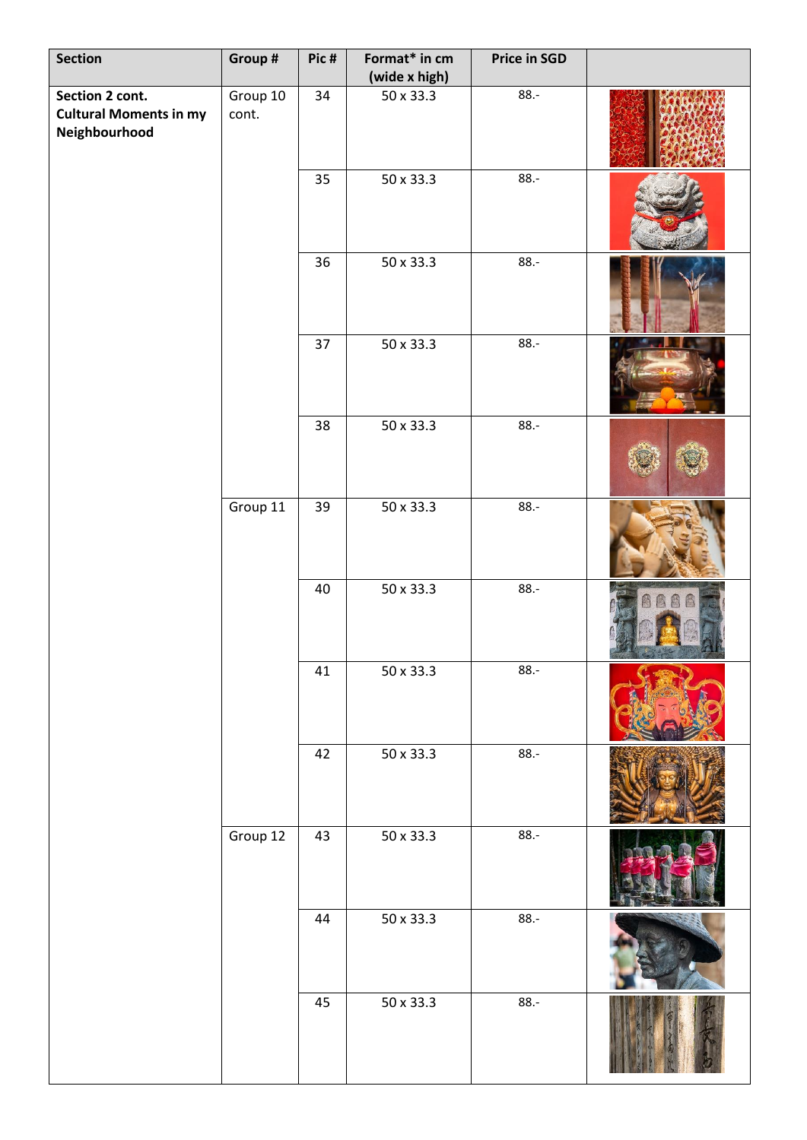| <b>Section</b>                                                    | Group #           | Pic# | Format* in cm<br>(wide x high) | <b>Price in SGD</b> |             |
|-------------------------------------------------------------------|-------------------|------|--------------------------------|---------------------|-------------|
| Section 2 cont.<br><b>Cultural Moments in my</b><br>Neighbourhood | Group 10<br>cont. | 34   | 50 x 33.3                      | $88.-$              |             |
|                                                                   |                   | 35   | 50 x 33.3                      | $88.-$              |             |
|                                                                   |                   | 36   | 50 x 33.3                      | $88.-$              |             |
|                                                                   |                   | 37   | 50 x 33.3                      | $88 -$              |             |
|                                                                   |                   | 38   | $50 \times 33.3$               | $88 -$              |             |
|                                                                   | Group 11          | 39   | $50 \times 33.3$               | $88. -$             |             |
|                                                                   |                   | 40   | $50 \times 33.3$               | $88.-$              | 高<br>圆<br>囪 |
|                                                                   |                   | 41   | $50 \times 33.3$               | $88.-$              |             |
|                                                                   |                   | 42   | 50 x 33.3                      | $88.-$              |             |
|                                                                   | Group 12          | 43   | 50 x 33.3                      | $88. -$             |             |
|                                                                   |                   | 44   | 50 x 33.3                      | $88 -$              |             |
|                                                                   |                   | 45   | 50 x 33.3                      | $88. -$             |             |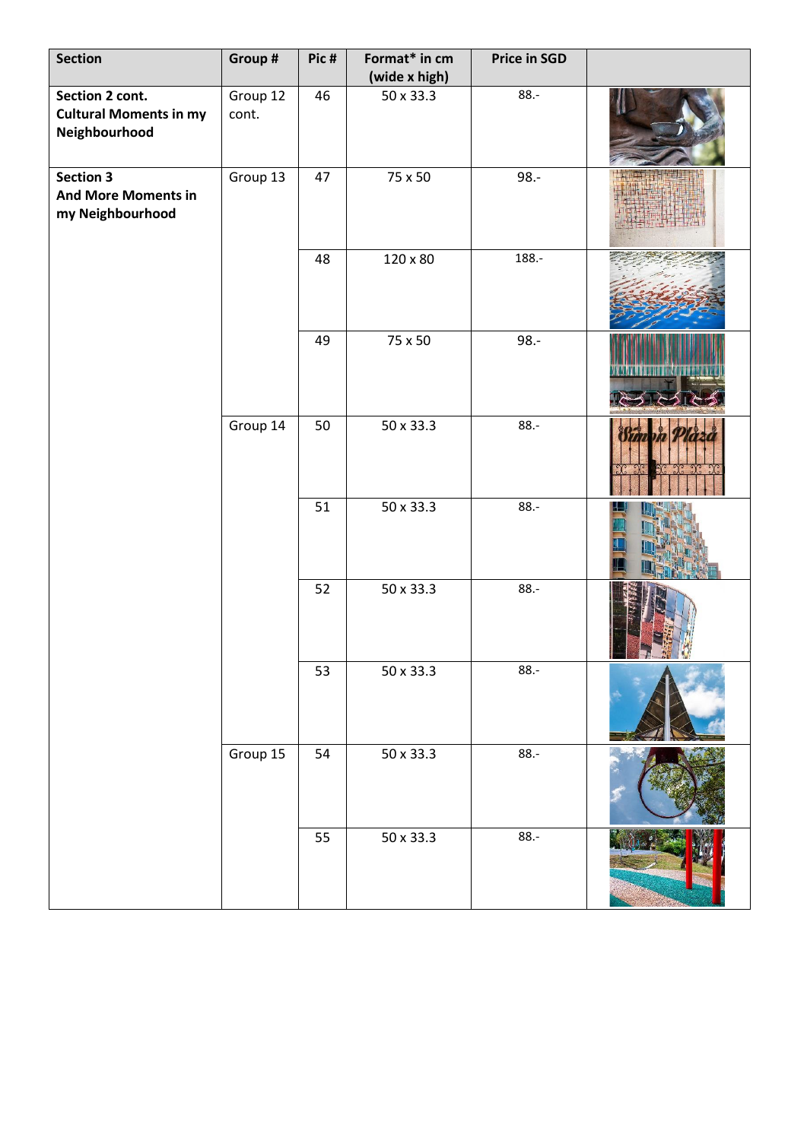| <b>Section</b>                                                     | Group #           | Pic# | Format* in cm<br>(wide x high) | <b>Price in SGD</b> |             |
|--------------------------------------------------------------------|-------------------|------|--------------------------------|---------------------|-------------|
| Section 2 cont.<br><b>Cultural Moments in my</b><br>Neighbourhood  | Group 12<br>cont. | 46   | 50 x 33.3                      | $88. -$             |             |
| <b>Section 3</b><br><b>And More Moments in</b><br>my Neighbourhood | Group 13          | 47   | 75 x 50                        | $98. -$             |             |
|                                                                    |                   | 48   | 120 x 80                       | 188.-               |             |
|                                                                    |                   | 49   | 75 x 50                        | $98. -$             |             |
|                                                                    | Group 14          | 50   | 50 x 33.3                      | $88. -$             |             |
|                                                                    |                   | 51   | 50 x 33.3                      | $88. -$             |             |
|                                                                    |                   | 52   | 50 x 33.3                      | $88. -$             | $F - F - F$ |
|                                                                    |                   | 53   | 50 x 33.3                      | $88.-$              |             |
|                                                                    | Group 15          | 54   | 50 x 33.3                      | $88.-$              |             |
|                                                                    |                   | 55   | 50 x 33.3                      | $88. -$             |             |